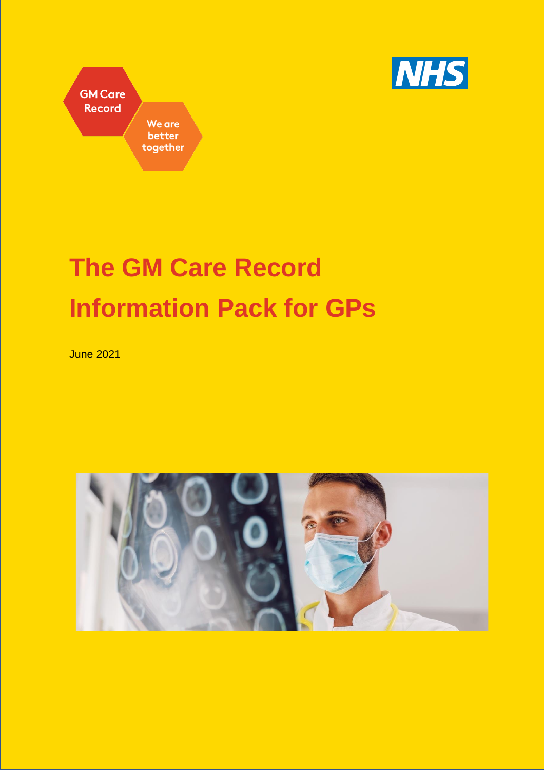



# **The GM Care Record Information Pack for GPs**

June 2021

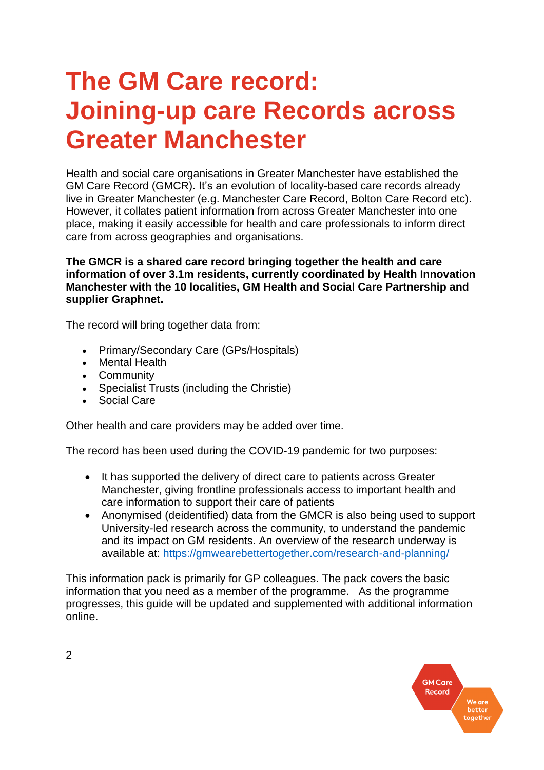## **The GM Care record: Joining-up care Records across Greater Manchester**

Health and social care organisations in Greater Manchester have established the GM Care Record (GMCR). It's an evolution of locality-based care records already live in Greater Manchester (e.g. Manchester Care Record, Bolton Care Record etc). However, it collates patient information from across Greater Manchester into one place, making it easily accessible for health and care professionals to inform direct care from across geographies and organisations.

#### **The GMCR is a shared care record bringing together the health and care information of over 3.1m residents, currently coordinated by Health Innovation Manchester with the 10 localities, GM Health and Social Care Partnership and supplier Graphnet.**

The record will bring together data from:

- Primary/Secondary Care (GPs/Hospitals)
- Mental Health
- Community
- Specialist Trusts (including the Christie)
- Social Care

Other health and care providers may be added over time.

The record has been used during the COVID-19 pandemic for two purposes:

- It has supported the delivery of direct care to patients across Greater Manchester, giving frontline professionals access to important health and care information to support their care of patients
- Anonymised (deidentified) data from the GMCR is also being used to support University-led research across the community, to understand the pandemic and its impact on GM residents. An overview of the research underway is available at:<https://gmwearebettertogether.com/research-and-planning/>

This information pack is primarily for GP colleagues. The pack covers the basic information that you need as a member of the programme. As the programme progresses, this guide will be updated and supplemented with additional information online.

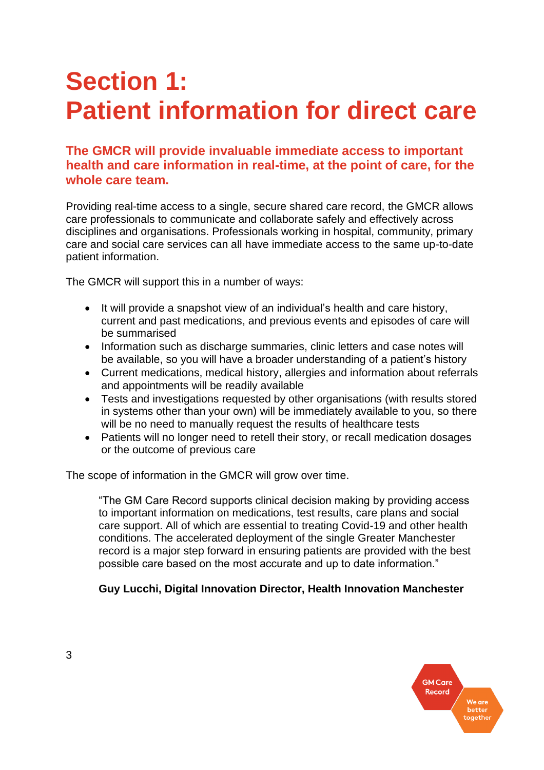## **Section 1: Patient information for direct care**

#### **The GMCR will provide invaluable immediate access to important health and care information in real-time, at the point of care, for the whole care team.**

Providing real-time access to a single, secure shared care record, the GMCR allows care professionals to communicate and collaborate safely and effectively across disciplines and organisations. Professionals working in hospital, community, primary care and social care services can all have immediate access to the same up-to-date patient information.

The GMCR will support this in a number of ways:

- It will provide a snapshot view of an individual's health and care history, current and past medications, and previous events and episodes of care will be summarised
- Information such as discharge summaries, clinic letters and case notes will be available, so you will have a broader understanding of a patient's history
- Current medications, medical history, allergies and information about referrals and appointments will be readily available
- Tests and investigations requested by other organisations (with results stored in systems other than your own) will be immediately available to you, so there will be no need to manually request the results of healthcare tests
- Patients will no longer need to retell their story, or recall medication dosages or the outcome of previous care

The scope of information in the GMCR will grow over time.

"The GM Care Record supports clinical decision making by providing access to important information on medications, test results, care plans and social care support. All of which are essential to treating Covid-19 and other health conditions. The accelerated deployment of the single Greater Manchester record is a major step forward in ensuring patients are provided with the best possible care based on the most accurate and up to date information."

#### **Guy Lucchi, Digital Innovation Director, Health Innovation Manchester**

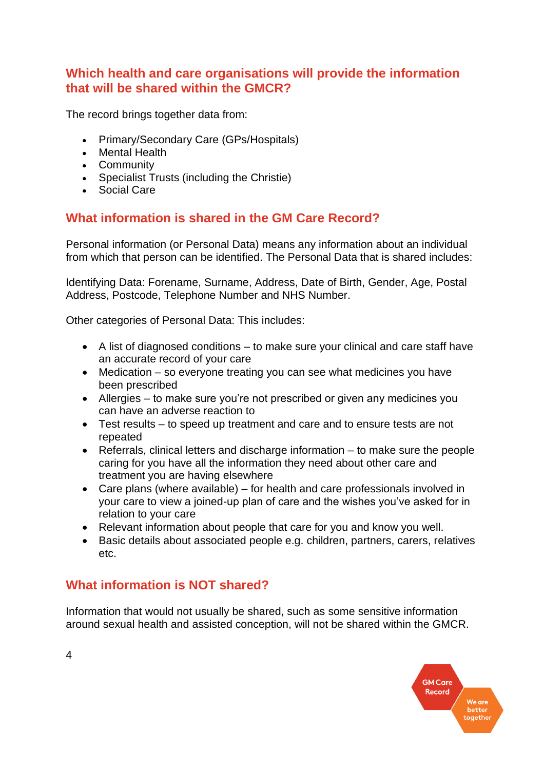#### **Which health and care organisations will provide the information that will be shared within the GMCR?**

The record brings together data from:

- Primary/Secondary Care (GPs/Hospitals)
- Mental Health
- Community
- Specialist Trusts (including the Christie)
- Social Care

### **What information is shared in the GM Care Record?**

Personal information (or Personal Data) means any information about an individual from which that person can be identified. The Personal Data that is shared includes:

Identifying Data: Forename, Surname, Address, Date of Birth, Gender, Age, Postal Address, Postcode, Telephone Number and NHS Number.

Other categories of Personal Data: This includes:

- A list of diagnosed conditions to make sure your clinical and care staff have an accurate record of your care
- Medication so everyone treating you can see what medicines you have been prescribed
- Allergies to make sure you're not prescribed or given any medicines you can have an adverse reaction to
- Test results to speed up treatment and care and to ensure tests are not repeated
- Referrals, clinical letters and discharge information to make sure the people caring for you have all the information they need about other care and treatment you are having elsewhere
- Care plans (where available) for health and care professionals involved in your care to view a joined-up plan of care and the wishes you've asked for in relation to your care
- Relevant information about people that care for you and know you well.
- Basic details about associated people e.g. children, partners, carers, relatives etc.

### **What information is NOT shared?**

Information that would not usually be shared, such as some sensitive information around sexual health and assisted conception, will not be shared within the GMCR.

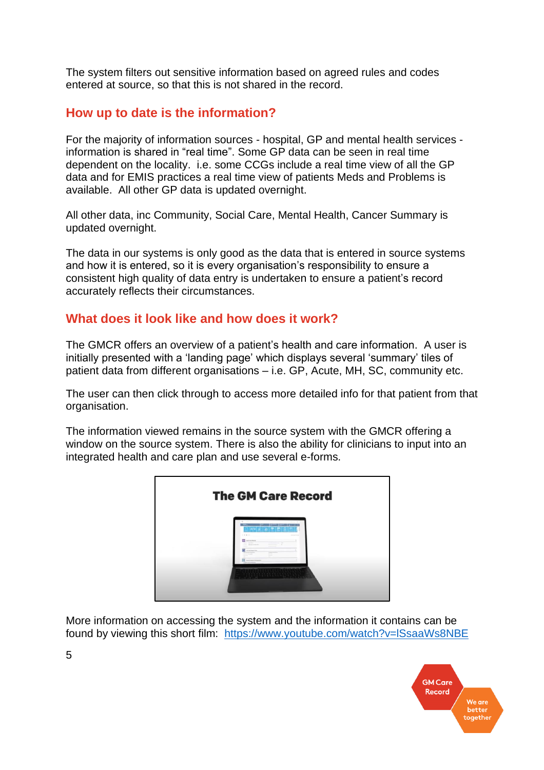The system filters out sensitive information based on agreed rules and codes entered at source, so that this is not shared in the record.

#### **How up to date is the information?**

For the majority of information sources - hospital, GP and mental health services information is shared in "real time". Some GP data can be seen in real time dependent on the locality. i.e. some CCGs include a real time view of all the GP data and for EMIS practices a real time view of patients Meds and Problems is available. All other GP data is updated overnight.

All other data, inc Community, Social Care, Mental Health, Cancer Summary is updated overnight.

The data in our systems is only good as the data that is entered in source systems and how it is entered, so it is every organisation's responsibility to ensure a consistent high quality of data entry is undertaken to ensure a patient's record accurately reflects their circumstances.

#### **What does it look like and how does it work?**

The GMCR offers an overview of a patient's health and care information. A user is initially presented with a 'landing page' which displays several 'summary' tiles of patient data from different organisations – i.e. GP, Acute, MH, SC, community etc.

The user can then click through to access more detailed info for that patient from that organisation.

The information viewed remains in the source system with the GMCR offering a window on the source system. There is also the ability for clinicians to input into an integrated health and care plan and use several e-forms.

| <b>The GM Care Record</b> |                                                                                                                                                                                                                                                   |
|---------------------------|---------------------------------------------------------------------------------------------------------------------------------------------------------------------------------------------------------------------------------------------------|
|                           | $-2.44 -$<br><b>Construction</b><br>This work.<br>$\sim$<br>terms. And the streets<br>$\sim$<br>--<br>в<br>Tom and the perform<br><b>The Company's Service</b><br><b>CARLO CARDO</b><br>County Labor<br>--<br>-<br><b>Joannes Lewis Company's</b> |
|                           |                                                                                                                                                                                                                                                   |

More information on accessing the system and the information it contains can be found by viewing this short film: <https://www.youtube.com/watch?v=lSsaaWs8NBE>

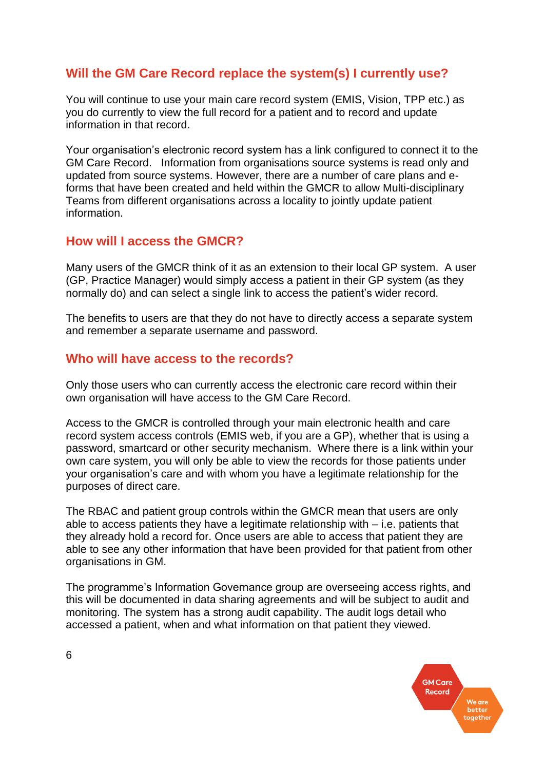#### **Will the GM Care Record replace the system(s) I currently use?**

You will continue to use your main care record system (EMIS, Vision, TPP etc.) as you do currently to view the full record for a patient and to record and update information in that record.

Your organisation's electronic record system has a link configured to connect it to the GM Care Record. Information from organisations source systems is read only and updated from source systems. However, there are a number of care plans and eforms that have been created and held within the GMCR to allow Multi-disciplinary Teams from different organisations across a locality to jointly update patient information.

#### **How will I access the GMCR?**

Many users of the GMCR think of it as an extension to their local GP system. A user (GP, Practice Manager) would simply access a patient in their GP system (as they normally do) and can select a single link to access the patient's wider record.

The benefits to users are that they do not have to directly access a separate system and remember a separate username and password.

#### **Who will have access to the records?**

Only those users who can currently access the electronic care record within their own organisation will have access to the GM Care Record.

Access to the GMCR is controlled through your main electronic health and care record system access controls (EMIS web, if you are a GP), whether that is using a password, smartcard or other security mechanism. Where there is a link within your own care system, you will only be able to view the records for those patients under your organisation's care and with whom you have a legitimate relationship for the purposes of direct care.

The RBAC and patient group controls within the GMCR mean that users are only able to access patients they have a legitimate relationship with – i.e. patients that they already hold a record for. Once users are able to access that patient they are able to see any other information that have been provided for that patient from other organisations in GM.

The programme's Information Governance group are overseeing access rights, and this will be documented in data sharing agreements and will be subject to audit and monitoring. The system has a strong audit capability. The audit logs detail who accessed a patient, when and what information on that patient they viewed.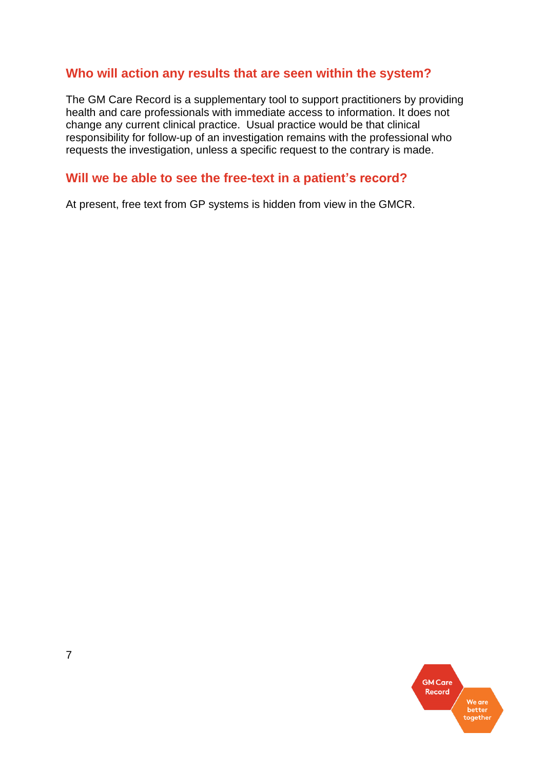#### **Who will action any results that are seen within the system?**

The GM Care Record is a supplementary tool to support practitioners by providing health and care professionals with immediate access to information. It does not change any current clinical practice. Usual practice would be that clinical responsibility for follow-up of an investigation remains with the professional who requests the investigation, unless a specific request to the contrary is made.

#### **Will we be able to see the free-text in a patient's record?**

At present, free text from GP systems is hidden from view in the GMCR.

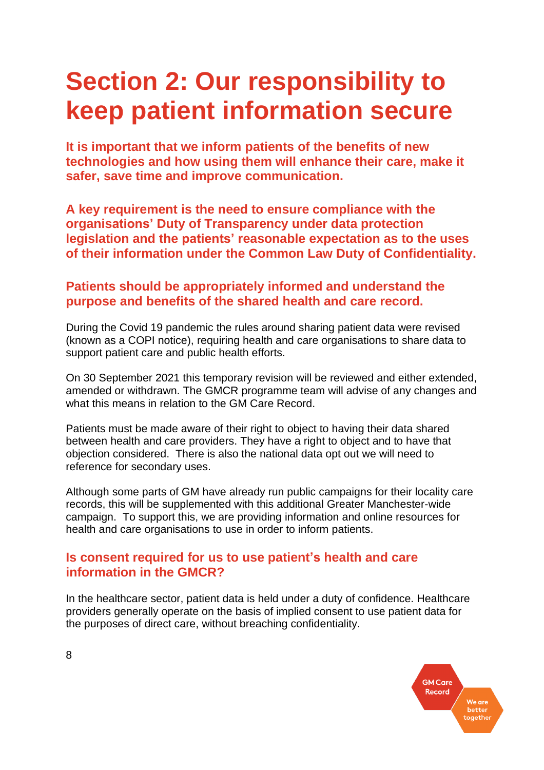## **Section 2: Our responsibility to keep patient information secure**

**It is important that we inform patients of the benefits of new technologies and how using them will enhance their care, make it safer, save time and improve communication.**

**A key requirement is the need to ensure compliance with the organisations' Duty of Transparency under data protection legislation and the patients' reasonable expectation as to the uses of their information under the Common Law Duty of Confidentiality.**

#### **Patients should be appropriately informed and understand the purpose and benefits of the shared health and care record.**

During the Covid 19 pandemic the rules around sharing patient data were revised (known as a COPI notice), requiring health and care organisations to share data to support patient care and public health efforts.

On 30 September 2021 this temporary revision will be reviewed and either extended, amended or withdrawn. The GMCR programme team will advise of any changes and what this means in relation to the GM Care Record.

Patients must be made aware of their right to object to having their data shared between health and care providers. They have a right to object and to have that objection considered. There is also the national data opt out we will need to reference for secondary uses.

Although some parts of GM have already run public campaigns for their locality care records, this will be supplemented with this additional Greater Manchester-wide campaign. To support this, we are providing information and online resources for health and care organisations to use in order to inform patients.

#### **Is consent required for us to use patient's health and care information in the GMCR?**

In the healthcare sector, patient data is held under a duty of confidence. Healthcare providers generally operate on the basis of implied consent to use patient data for the purposes of direct care, without breaching confidentiality.

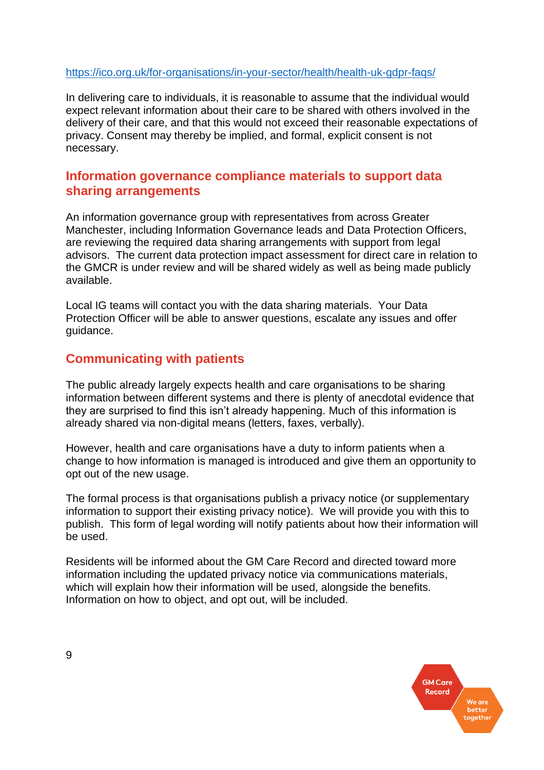#### <https://ico.org.uk/for-organisations/in-your-sector/health/health-uk-gdpr-faqs/>

In delivering care to individuals, it is reasonable to assume that the individual would expect relevant information about their care to be shared with others involved in the delivery of their care, and that this would not exceed their reasonable expectations of privacy. Consent may thereby be implied, and formal, explicit consent is not necessary.

#### **Information governance compliance materials to support data sharing arrangements**

An information governance group with representatives from across Greater Manchester, including Information Governance leads and Data Protection Officers, are reviewing the required data sharing arrangements with support from legal advisors. The current data protection impact assessment for direct care in relation to the GMCR is under review and will be shared widely as well as being made publicly available.

Local IG teams will contact you with the data sharing materials. Your Data Protection Officer will be able to answer questions, escalate any issues and offer guidance.

#### **Communicating with patients**

The public already largely expects health and care organisations to be sharing information between different systems and there is plenty of anecdotal evidence that they are surprised to find this isn't already happening. Much of this information is already shared via non-digital means (letters, faxes, verbally).

However, health and care organisations have a duty to inform patients when a change to how information is managed is introduced and give them an opportunity to opt out of the new usage.

The formal process is that organisations publish a privacy notice (or supplementary information to support their existing privacy notice). We will provide you with this to publish. This form of legal wording will notify patients about how their information will be used.

Residents will be informed about the GM Care Record and directed toward more information including the updated privacy notice via communications materials, which will explain how their information will be used, alongside the benefits. Information on how to object, and opt out, will be included.

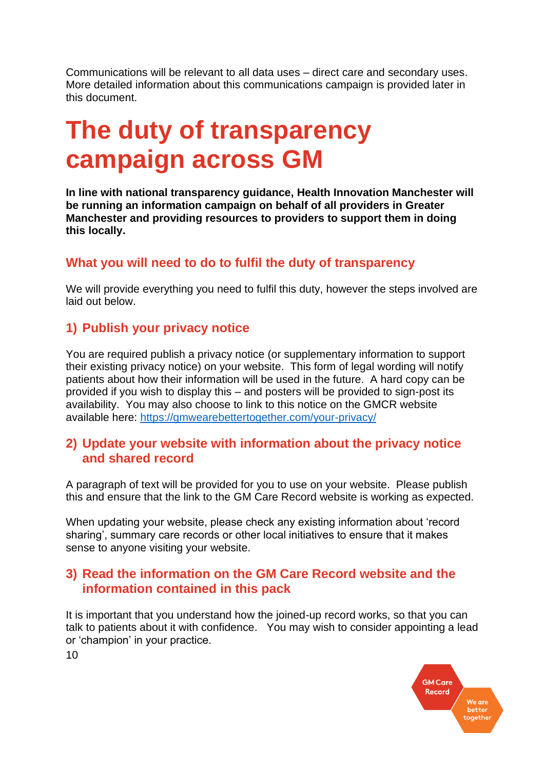Communications will be relevant to all data uses – direct care and secondary uses. More detailed information about this communications campaign is provided later in this document.

### **The duty of transparency campaign across GM**

**In line with national transparency guidance, Health Innovation Manchester will be running an information campaign on behalf of all providers in Greater Manchester and providing resources to providers to support them in doing this locally.**

#### **What you will need to do to fulfil the duty of transparency**

We will provide everything you need to fulfil this duty, however the steps involved are laid out below.

### **1) Publish your privacy notice**

You are required publish a privacy notice (or supplementary information to support their existing privacy notice) on your website. This form of legal wording will notify patients about how their information will be used in the future. A hard copy can be provided if you wish to display this – and posters will be provided to sign-post its availability. You may also choose to link to this notice on the GMCR website available here:<https://gmwearebettertogether.com/your-privacy/>

#### **2) Update your website with information about the privacy notice and shared record**

A paragraph of text will be provided for you to use on your website. Please publish this and ensure that the link to the GM Care Record website is working as expected.

When updating your website, please check any existing information about 'record sharing', summary care records or other local initiatives to ensure that it makes sense to anyone visiting your website.

#### **3) Read the information on the GM Care Record website and the information contained in this pack**

It is important that you understand how the joined-up record works, so that you can talk to patients about it with confidence. You may wish to consider appointing a lead or 'champion' in your practice.

> **GM Care Record** better<br>together

10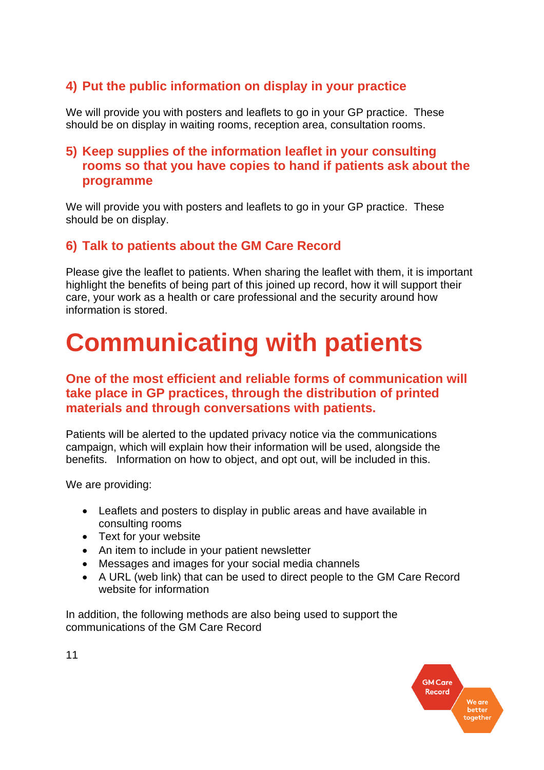### **4) Put the public information on display in your practice**

We will provide you with posters and leaflets to go in your GP practice. These should be on display in waiting rooms, reception area, consultation rooms.

#### **5) Keep supplies of the information leaflet in your consulting rooms so that you have copies to hand if patients ask about the programme**

We will provide you with posters and leaflets to go in your GP practice. These should be on display.

#### **6) Talk to patients about the GM Care Record**

Please give the leaflet to patients. When sharing the leaflet with them, it is important highlight the benefits of being part of this joined up record, how it will support their care, your work as a health or care professional and the security around how information is stored.

## **Communicating with patients**

#### **One of the most efficient and reliable forms of communication will take place in GP practices, through the distribution of printed materials and through conversations with patients.**

Patients will be alerted to the updated privacy notice via the communications campaign, which will explain how their information will be used, alongside the benefits. Information on how to object, and opt out, will be included in this.

We are providing:

- Leaflets and posters to display in public areas and have available in consulting rooms
- Text for your website
- An item to include in your patient newsletter
- Messages and images for your social media channels
- A URL (web link) that can be used to direct people to the GM Care Record website for information

In addition, the following methods are also being used to support the communications of the GM Care Record



11